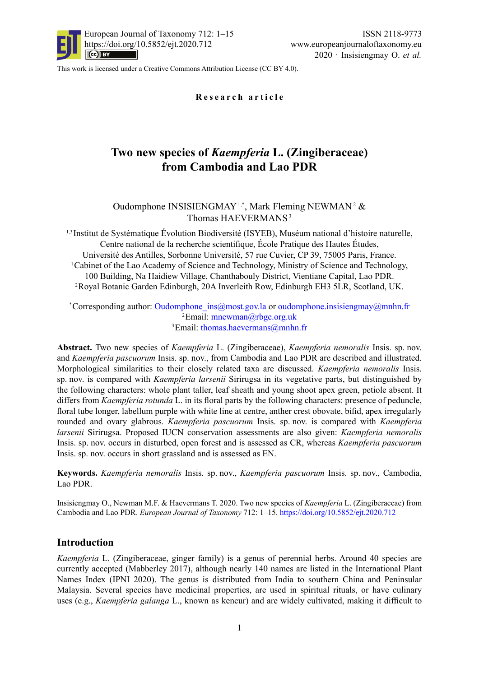

This work is licensed under a [Creative Commons Attribution License \(CC BY 4.0\).](https://creativecommons.org/licenses/by/4.0/)

**Research article**

# **Two new species of** *Kaempferia* **L. (Zingiberaceae) from Cambodia and Lao PDR**

# Oudomphone INSISIENGMAY<sup>1,\*</sup>, Mark Fleming NEWMAN<sup>2</sup> & Thomas HAEVERMANS<sup>3</sup>

1,3 Institut de Systématique Évolution Biodiversité (ISYEB), Muséum national d'histoire naturelle, Centre national de la recherche scientifique, École Pratique des Hautes Études, Université des Antilles, Sorbonne Université, 57 rue Cuvier, CP 39, 75005 Paris, France. 1Cabinet of the Lao Academy of Science and Technology, Ministry of Science and Technology, 100 Building, Na Haidiew Village, Chanthabouly District, Vientiane Capital, Lao PDR. 2Royal Botanic Garden Edinburgh, 20A Inverleith Row, Edinburgh EH3 5LR, Scotland, UK.

\*Corresponding author: [Oudomphone\\_ins@most.gov.la](mailto:Oudomphone_ins%40most.gov.la?subject=) or [oudomphone.insisiengmay@mnhn.fr](mailto:oudomphone.insisiengmay%40mnhn.fr?subject=) 2Email: [mnewman@rbge.org.uk](mailto:mnewman%40rbge.org.uk?subject=) <sup>3</sup>Email: [thomas.haevermans@mnhn.fr](mailto:thomas.haevermans%40mnhn.fr?subject=)

**Abstract.** Two new species of *Kaempferia* L. (Zingiberaceae), *Kaempferia nemoralis* Insis. sp. nov. and *Kaempferia pascuorum* Insis. sp. nov., from Cambodia and Lao PDR are described and illustrated. Morphological similarities to their closely related taxa are discussed. *Kaempferia nemoralis* Insis. sp. nov. is compared with *Kaempferia larsenii* Sirirugsa in its vegetative parts, but distinguished by the following characters: whole plant taller, leaf sheath and young shoot apex green, petiole absent. It differs from *Kaempferia rotunda* L. in its floral parts by the following characters: presence of peduncle, floral tube longer, labellum purple with white line at centre, anther crest obovate, bifid, apex irregularly rounded and ovary glabrous. *Kaempferia pascuorum* Insis. sp. nov. is compared with *Kaempferia larsenii* Sirirugsa. Proposed IUCN conservation assessments are also given: *Kaempferia nemoralis* Insis. sp. nov. occurs in disturbed, open forest and is assessed as CR, whereas *Kaempferia pascuorum* Insis. sp. nov. occurs in short grassland and is assessed as EN.

**Keywords.** *Kaempferia nemoralis* Insis. sp. nov., *Kaempferia pascuorum* Insis. sp. nov., Cambodia, Lao PDR.

Insisiengmay O., Newman M.F. & Haevermans T. 2020. Two new species of *Kaempferia* L. (Zingiberaceae) from Cambodia and Lao PDR. *European Journal of Taxonomy* 712: 1–15. [https://doi.org/10.5852/ejt.2020.](https://doi.org/10.5852/ejt.2020.712)712

# **Introduction**

*Kaempferia* L. (Zingiberaceae, ginger family) is a genus of perennial herbs. Around 40 species are currently accepted (Mabberley 2017), although nearly 140 names are listed in the International Plant Names Index (IPNI 2020). The genus is distributed from India to southern China and Peninsular Malaysia. Several species have medicinal properties, are used in spiritual rituals, or have culinary uses (e.g., *Kaempferia galanga* L., known as kencur) and are widely cultivated, making it difficult to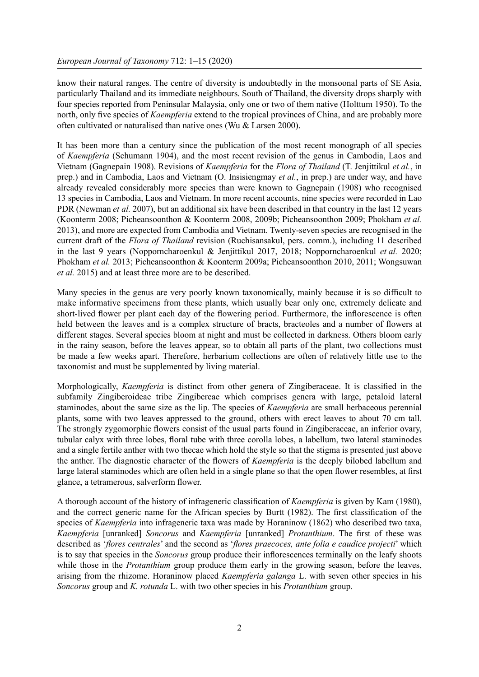know their natural ranges. The centre of diversity is undoubtedly in the monsoonal parts of SE Asia, particularly Thailand and its immediate neighbours. South of Thailand, the diversity drops sharply with four species reported from Peninsular Malaysia, only one or two of them native (Holttum 1950). To the north, only five species of *Kaempferia* extend to the tropical provinces of China, and are probably more often cultivated or naturalised than native ones (Wu & Larsen 2000).

It has been more than a century since the publication of the most recent monograph of all species of *Kaempferia* (Schumann 1904), and the most recent revision of the genus in Cambodia, Laos and Vietnam (Gagnepain 1908). Revisions of *Kaempferia* for the *Flora of Thailand* (T. Jenjittikul *et al.*, in prep.) and in Cambodia, Laos and Vietnam (O. Insisiengmay *et al.*, in prep.) are under way, and have already revealed considerably more species than were known to Gagnepain (1908) who recognised 13 species in Cambodia, Laos and Vietnam. In more recent accounts, nine species were recorded in Lao PDR (Newman *et al.* 2007), but an additional six have been described in that country in the last 12 years (Koonterm 2008; Picheansoonthon & Koonterm 2008, 2009b; Picheansoonthon 2009; Phokham *et al.* 2013), and more are expected from Cambodia and Vietnam. Twenty-seven species are recognised in the current draft of the *Flora of Thailand* revision (Ruchisansakul, pers. comm.), including 11 described in the last 9 years (Nopporncharoenkul & Jenjittikul 2017, 2018; Nopporncharoenkul *et al.* 2020; Phokham *et al.* 2013; Picheansoonthon & Koonterm 2009a; Picheansoonthon 2010, 2011; Wongsuwan *et al.* 2015) and at least three more are to be described.

Many species in the genus are very poorly known taxonomically, mainly because it is so difficult to make informative specimens from these plants, which usually bear only one, extremely delicate and short-lived flower per plant each day of the flowering period. Furthermore, the inflorescence is often held between the leaves and is a complex structure of bracts, bracteoles and a number of flowers at different stages. Several species bloom at night and must be collected in darkness. Others bloom early in the rainy season, before the leaves appear, so to obtain all parts of the plant, two collections must be made a few weeks apart. Therefore, herbarium collections are often of relatively little use to the taxonomist and must be supplemented by living material.

Morphologically, *Kaempferia* is distinct from other genera of Zingiberaceae. It is classified in the subfamily Zingiberoideae tribe Zingibereae which comprises genera with large, petaloid lateral staminodes, about the same size as the lip. The species of *Kaempferia* are small herbaceous perennial plants, some with two leaves appressed to the ground, others with erect leaves to about 70 cm tall. The strongly zygomorphic flowers consist of the usual parts found in Zingiberaceae, an inferior ovary, tubular calyx with three lobes, floral tube with three corolla lobes, a labellum, two lateral staminodes and a single fertile anther with two thecae which hold the style so that the stigma is presented just above the anther. The diagnostic character of the flowers of *Kaempferia* is the deeply bilobed labellum and large lateral staminodes which are often held in a single plane so that the open flower resembles, at first glance, a tetramerous, salverform flower.

A thorough account of the history of infrageneric classification of *Kaempferia* is given by Kam (1980), and the correct generic name for the African species by Burtt (1982). The first classification of the species of *Kaempferia* into infrageneric taxa was made by Horaninow (1862) who described two taxa, *Kaempferia* [unranked] *Soncorus* and *Kaempferia* [unranked] *Protanthium*. The first of these was described as '*flores centrales*' and the second as '*flores praecoces, ante folia e caudice projecti*' which is to say that species in the *Soncorus* group produce their inflorescences terminally on the leafy shoots while those in the *Protanthium* group produce them early in the growing season, before the leaves, arising from the rhizome. Horaninow placed *Kaempferia galanga* L. with seven other species in his *Soncorus* group and *K. rotunda* L. with two other species in his *Protanthium* group.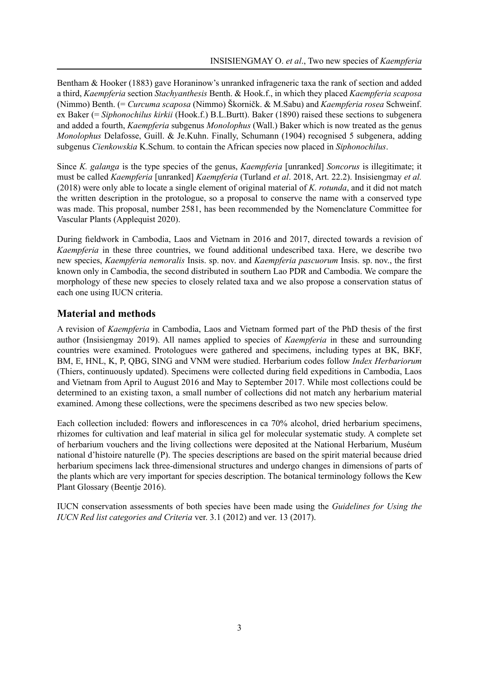Bentham & Hooker (1883) gave Horaninow's unranked infrageneric taxa the rank of section and added a third, *Kaempferia* section *Stachyanthesis* Benth. & Hook.f., in which they placed *Kaempferia scaposa* (Nimmo) Benth. (= *Curcuma scaposa* (Nimmo) Škorničk. & M.Sabu) and *Kaempferia rosea* Schweinf. ex Baker (= *Siphonochilus kirkii* (Hook.f.) B.L.Burtt). Baker (1890) raised these sections to subgenera and added a fourth, *Kaempferia* subgenus *Monolophus* (Wall.) Baker which is now treated as the genus *Monolophus* Delafosse, Guill. & Je.Kuhn. Finally, Schumann (1904) recognised 5 subgenera, adding subgenus *Cienkowskia* K.Schum. to contain the African species now placed in *Siphonochilus*.

Since *K. galanga* is the type species of the genus, *Kaempferia* [unranked] *Soncorus* is illegitimate; it must be called *Kaempferia* [unranked] *Kaempferia* (Turland *et al*. 2018, Art. 22.2). Insisiengmay *et al.* (2018) were only able to locate a single element of original material of *K. rotunda*, and it did not match the written description in the protologue, so a proposal to conserve the name with a conserved type was made. This proposal, number 2581, has been recommended by the Nomenclature Committee for Vascular Plants (Applequist 2020).

During fieldwork in Cambodia, Laos and Vietnam in 2016 and 2017, directed towards a revision of *Kaempferia* in these three countries, we found additional undescribed taxa. Here, we describe two new species, *Kaempferia nemoralis* Insis. sp. nov. and *Kaempferia pascuorum* Insis. sp. nov., the first known only in Cambodia, the second distributed in southern Lao PDR and Cambodia. We compare the morphology of these new species to closely related taxa and we also propose a conservation status of each one using IUCN criteria.

# **Material and methods**

A revision of *Kaempferia* in Cambodia, Laos and Vietnam formed part of the PhD thesis of the first author (Insisiengmay 2019). All names applied to species of *Kaempferia* in these and surrounding countries were examined. Protologues were gathered and specimens, including types at BK, BKF, BM, E, HNL, K, P, QBG, SING and VNM were studied. Herbarium codes follow *Index Herbariorum* (Thiers, continuously updated). Specimens were collected during field expeditions in Cambodia, Laos and Vietnam from April to August 2016 and May to September 2017. While most collections could be determined to an existing taxon, a small number of collections did not match any herbarium material examined. Among these collections, were the specimens described as two new species below.

Each collection included: flowers and inflorescences in ca 70% alcohol, dried herbarium specimens, rhizomes for cultivation and leaf material in silica gel for molecular systematic study. A complete set of herbarium vouchers and the living collections were deposited at the National Herbarium, Muséum national d'histoire naturelle (P). The species descriptions are based on the spirit material because dried herbarium specimens lack three-dimensional structures and undergo changes in dimensions of parts of the plants which are very important for species description. The botanical terminology follows the Kew Plant Glossary (Beentje 2016).

IUCN conservation assessments of both species have been made using the *Guidelines for Using the IUCN Red list categories and Criteria* ver. 3.1 (2012) and ver. 13 (2017).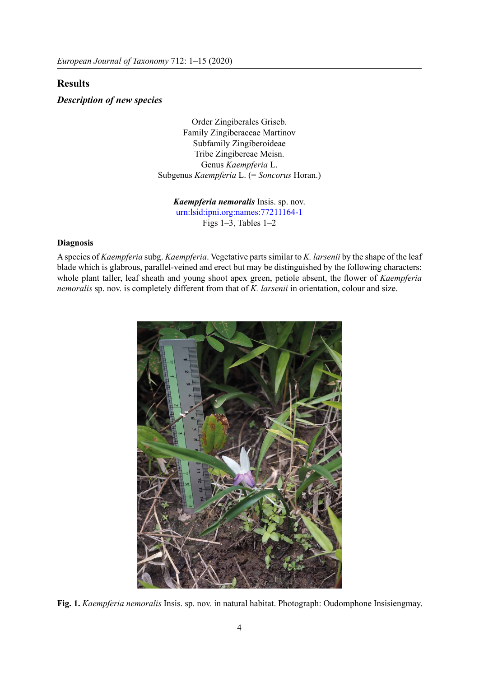# **Results**

#### *Description of new species*

Order Zingiberales Griseb. Family Zingiberaceae Martinov Subfamily Zingiberoideae Tribe Zingibereae Meisn. Genus *Kaempferia* L. Subgenus *Kaempferia* L. (= *Soncorus* Horan.)

*Kaempferia nemoralis* Insis. sp. nov. [urn:lsid:ipni.org:names:77211164-1](http://www.ipni.org/urn:lsid:ipni.org:names:77211164-1) Figs 1–3, Tables 1–2

# **Diagnosis**

A species of *Kaempferia* subg. *Kaempferia*. Vegetative parts similar to *K. larsenii* by the shape of the leaf blade which is glabrous, parallel-veined and erect but may be distinguished by the following characters: whole plant taller, leaf sheath and young shoot apex green, petiole absent, the flower of *Kaempferia nemoralis* sp. nov. is completely different from that of *K. larsenii* in orientation, colour and size.



**Fig. 1.** *Kaempferia nemoralis* Insis. sp. nov. in natural habitat. Photograph: Oudomphone Insisiengmay.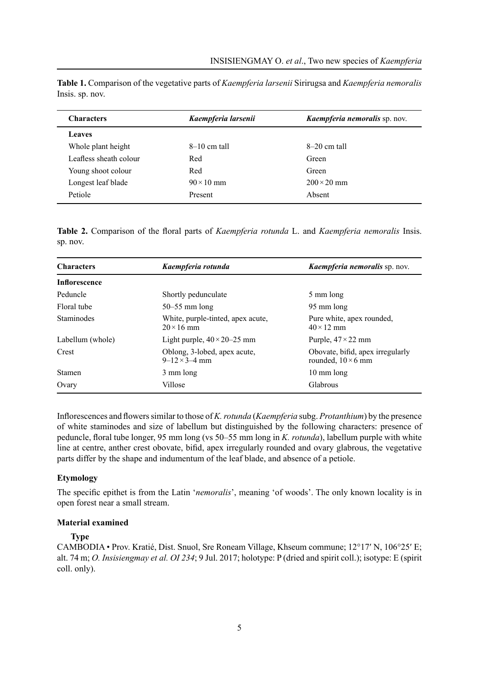| <b>Characters</b>      | Kaempferia larsenii | Kaempferia nemoralis sp. nov. |
|------------------------|---------------------|-------------------------------|
| Leaves                 |                     |                               |
| Whole plant height     | $8-10$ cm tall      | $8-20$ cm tall                |
| Leafless sheath colour | Red                 | Green                         |
| Young shoot colour     | Red                 | Green                         |
| Longest leaf blade     | $90 \times 10$ mm   | $200 \times 20$ mm            |
| Petiole                | Present             | Absent                        |

**Table 1.** Comparison of the vegetative parts of *Kaempferia larsenii* Sirirugsa and *Kaempferia nemoralis* Insis. sp. nov.

**Table 2.** Comparison of the floral parts of *Kaempferia rotunda* L. and *Kaempferia nemoralis* Insis. sp. nov.

| <b>Characters</b>    | Kaempferia rotunda                                       | Kaempferia nemoralis sp. nov.                                 |
|----------------------|----------------------------------------------------------|---------------------------------------------------------------|
| <b>Inflorescence</b> |                                                          |                                                               |
| Peduncle             | Shortly pedunculate                                      | 5 mm long                                                     |
| Floral tube          | $50-55$ mm long                                          | 95 mm long                                                    |
| <b>Staminodes</b>    | White, purple-tinted, apex acute,<br>$20 \times 16$ mm   | Pure white, apex rounded,<br>$40 \times 12$ mm                |
| Labellum (whole)     | Light purple, $40 \times 20 - 25$ mm                     | Purple, $47 \times 22$ mm                                     |
| Crest                | Oblong, 3-lobed, apex acute,<br>$9 - 12 \times 3 - 4$ mm | Obovate, bifid, apex irregularly<br>rounded, $10 \times 6$ mm |
| <b>Stamen</b>        | 3 mm long                                                | 10 mm long                                                    |
| Ovary                | Villose                                                  | Glabrous                                                      |

Inflorescences and flowers similar to those of *K. rotunda* (*Kaempferia* subg. *Protanthium*) by the presence of white staminodes and size of labellum but distinguished by the following characters: presence of peduncle, floral tube longer, 95 mm long (vs 50–55 mm long in *K. rotunda*), labellum purple with white line at centre, anther crest obovate, bifid, apex irregularly rounded and ovary glabrous, the vegetative parts differ by the shape and indumentum of the leaf blade, and absence of a petiole.

# **Etymology**

The specific epithet is from the Latin '*nemoralis*', meaning 'of woods'. The only known locality is in open forest near a small stream.

#### **Material examined**

#### **Type**

CAMBODIA • Prov. Kratié, Dist. Snuol, Sre Roneam Village, Khseum commune; 12°17′ N, 106°25′ E; alt. 74 m; *O. Insisiengmay et al. OI 234*; 9 Jul. 2017; holotype: P (dried and spirit coll.); isotype: E (spirit coll. only).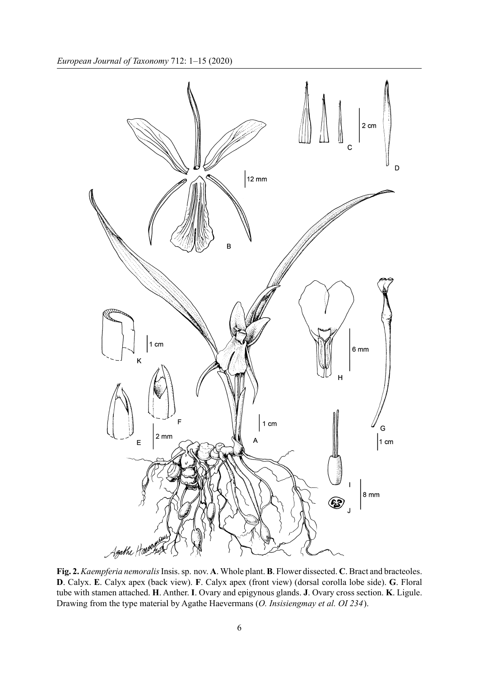

**Fig. 2.** *Kaempferia nemoralis* Insis. sp. nov. **A**. Whole plant. **B**. Flower dissected. **C**. Bract and bracteoles. **D**. Calyx. **E**. Calyx apex (back view). **F**. Calyx apex (front view) (dorsal corolla lobe side). **G**. Floral tube with stamen attached. **H**. Anther. **I**. Ovary and epigynous glands. **J**. Ovary cross section. **K**. Ligule. Drawing from the type material by Agathe Haevermans (*O. Insisiengmay et al. OI 234*).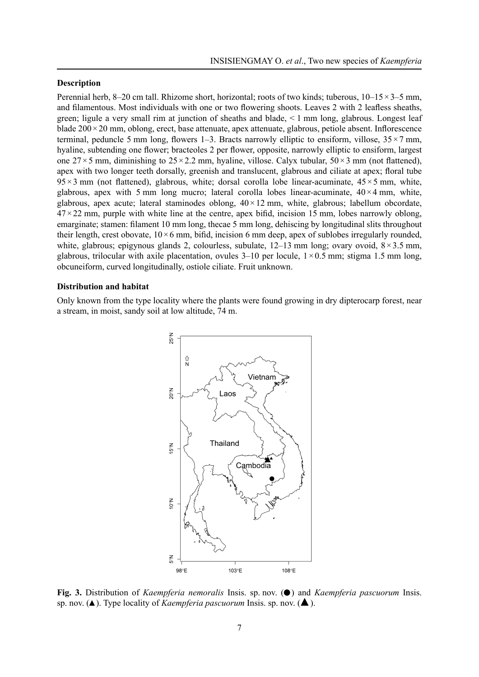#### **Description**

Perennial herb, 8–20 cm tall. Rhizome short, horizontal; roots of two kinds; tuberous, 10–15×3–5 mm, and filamentous. Most individuals with one or two flowering shoots. Leaves 2 with 2 leafless sheaths, green; ligule a very small rim at junction of sheaths and blade, < 1 mm long, glabrous. Longest leaf blade 200×20 mm, oblong, erect, base attenuate, apex attenuate, glabrous, petiole absent. Inflorescence terminal, peduncle 5 mm long, flowers 1–3. Bracts narrowly elliptic to ensiform, villose,  $35 \times 7$  mm, hyaline, subtending one flower; bracteoles 2 per flower, opposite, narrowly elliptic to ensiform, largest one 27×5 mm, diminishing to  $25 \times 2.2$  mm, hyaline, villose. Calyx tubular,  $50 \times 3$  mm (not flattened), apex with two longer teeth dorsally, greenish and translucent, glabrous and ciliate at apex; floral tube  $95 \times 3$  mm (not flattened), glabrous, white; dorsal corolla lobe linear-acuminate,  $45 \times 5$  mm, white, glabrous, apex with 5 mm long mucro; lateral corolla lobes linear-acuminate,  $40 \times 4$  mm, white, glabrous, apex acute; lateral staminodes oblong,  $40 \times 12$  mm, white, glabrous; labellum obcordate,  $47 \times 22$  mm, purple with white line at the centre, apex bifid, incision 15 mm, lobes narrowly oblong, emarginate; stamen: filament 10 mm long, thecae 5 mm long, dehiscing by longitudinal slits throughout their length, crest obovate,  $10 \times 6$  mm, bifid, incision 6 mm deep, apex of sublobes irregularly rounded, white, glabrous; epigynous glands 2, colourless, subulate,  $12-13$  mm long; ovary ovoid,  $8 \times 3.5$  mm, glabrous, trilocular with axile placentation, ovules  $3-10$  per locule,  $1 \times 0.5$  mm; stigma 1.5 mm long, obcuneiform, curved longitudinally, ostiole ciliate. Fruit unknown.

#### **Distribution and habitat**

Only known from the type locality where the plants were found growing in dry dipterocarp forest, near a stream, in moist, sandy soil at low altitude, 74 m.



**Fig. 3.** Distribution of *Kaempferia nemoralis* Insis. sp. nov. (●) and *Kaempferia pascuorum* Insis. sp. nov. (▲). Type locality of *Kaempferia pascuorum* Insis. sp. nov. (▲).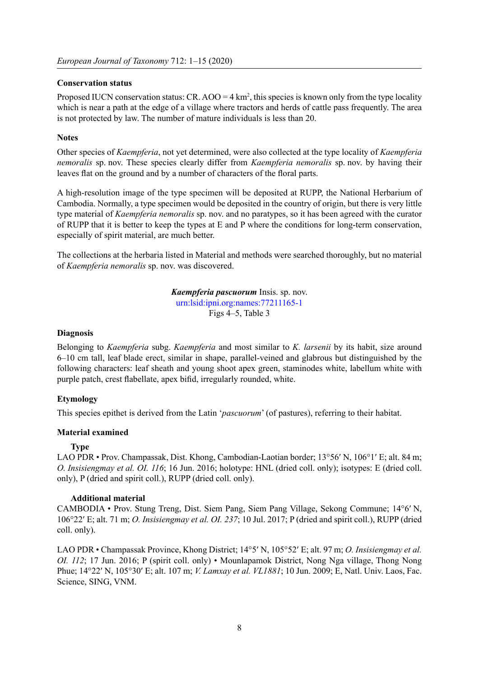### **Conservation status**

Proposed IUCN conservation status:  $CR. AOO = 4 \text{ km}^2$ , this species is known only from the type locality which is near a path at the edge of a village where tractors and herds of cattle pass frequently. The area is not protected by law. The number of mature individuals is less than 20.

### **Notes**

Other species of *Kaempferia*, not yet determined, were also collected at the type locality of *Kaempferia nemoralis* sp. nov. These species clearly differ from *Kaempferia nemoralis* sp. nov. by having their leaves flat on the ground and by a number of characters of the floral parts.

A high-resolution image of the type specimen will be deposited at RUPP, the National Herbarium of Cambodia. Normally, a type specimen would be deposited in the country of origin, but there is very little type material of *Kaempferia nemoralis* sp. nov. and no paratypes, so it has been agreed with the curator of RUPP that it is better to keep the types at E and P where the conditions for long-term conservation, especially of spirit material, are much better.

The collections at the herbaria listed in Material and methods were searched thoroughly, but no material of *Kaempferia nemoralis* sp. nov. was discovered.

> *Kaempferia pascuorum* Insis. sp. nov. [urn:lsid:ipni.org:names:77211165-1](http://www.ipni.org/urn:lsid:ipni.org:names:77211165-1) Figs 4–5, Table 3

#### **Diagnosis**

Belonging to *Kaempferia* subg. *Kaempferia* and most similar to *K. larsenii* by its habit, size around 6–10 cm tall, leaf blade erect, similar in shape, parallel-veined and glabrous but distinguished by the following characters: leaf sheath and young shoot apex green, staminodes white, labellum white with purple patch, crest flabellate, apex bifid, irregularly rounded, white.

### **Etymology**

This species epithet is derived from the Latin '*pascuorum*' (of pastures), referring to their habitat.

#### **Material examined**

### **Type**

LAO PDR • Prov. Champassak, Dist. Khong, Cambodian-Laotian border; 13°56′ N, 106°1′ E; alt. 84 m; *O. Insisiengmay et al. OI. 116*; 16 Jun. 2016; holotype: HNL (dried coll. only); isotypes: E (dried coll. only), P (dried and spirit coll.), RUPP (dried coll. only).

### **Additional material**

CAMBODIA • Prov. Stung Treng, Dist. Siem Pang, Siem Pang Village, Sekong Commune; 14°6′ N, 106°22′ E; alt. 71 m; *O. Insisiengmay et al. OI. 237*; 10 Jul. 2017; P (dried and spirit coll.), RUPP (dried coll. only).

LAO PDR • Champassak Province, Khong District; 14°5′ N, 105°52′ E; alt. 97 m; *O. Insisiengmay et al. OI. 112*; 17 Jun. 2016; P (spirit coll. only) • Mounlapamok District, Nong Nga village, Thong Nong Phue; 14°22′ N, 105°30′ E; alt. 107 m; *V. Lamxay et al. VL1881*; 10 Jun. 2009; E, Natl. Univ. Laos, Fac. Science, SING, VNM.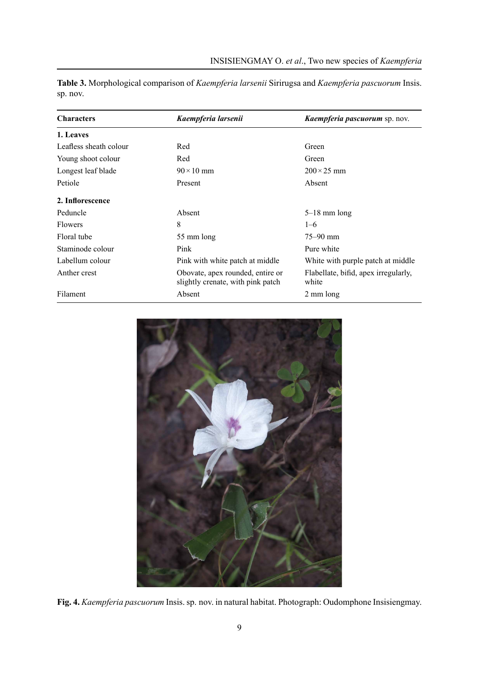| <b>Characters</b>      | Kaempferia larsenii                                                   | Kaempferia pascuorum sp. nov.                 |
|------------------------|-----------------------------------------------------------------------|-----------------------------------------------|
| 1. Leaves              |                                                                       |                                               |
| Leafless sheath colour | Red                                                                   | Green                                         |
| Young shoot colour     | Red                                                                   | Green                                         |
| Longest leaf blade     | $90 \times 10$ mm                                                     | $200 \times 25$ mm                            |
| Petiole                | Present                                                               | Absent                                        |
| 2. Inflorescence       |                                                                       |                                               |
| Peduncle               | Absent                                                                | $5-18$ mm long                                |
| <b>Flowers</b>         | 8                                                                     | $1 - 6$                                       |
| Floral tube            | 55 mm long                                                            | $75 - 90$ mm                                  |
| Staminode colour       | Pink                                                                  | Pure white                                    |
| Labellum colour        | Pink with white patch at middle                                       | White with purple patch at middle             |
| Anther crest           | Obovate, apex rounded, entire or<br>slightly crenate, with pink patch | Flabellate, bifid, apex irregularly,<br>white |
| Filament               | Absent                                                                | 2 mm long                                     |

**Table 3.** Morphological comparison of *Kaempferia larsenii* Sirirugsa and *Kaempferia pascuorum* Insis. sp. nov.



**Fig. 4.** *Kaempferia pascuorum* Insis. sp. nov. in natural habitat. Photograph: Oudomphone Insisiengmay.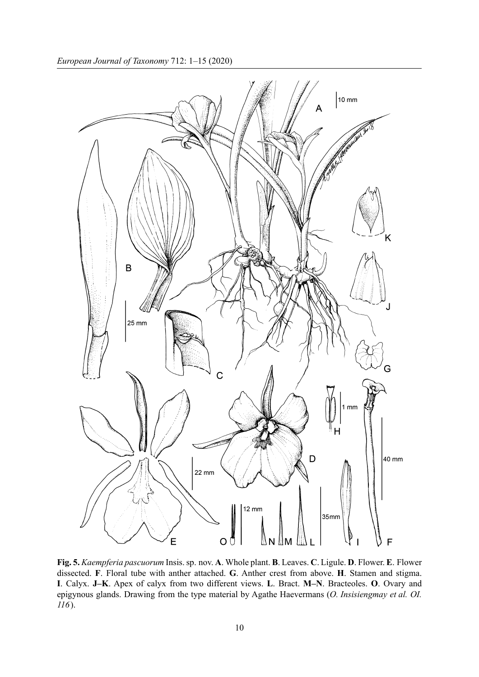

**Fig. 5.** *Kaempferia pascuorum* Insis. sp. nov. **A**. Whole plant. **B**. Leaves. **C**. Ligule. **D**. Flower. **E**. Flower dissected. **F**. Floral tube with anther attached. **G**. Anther crest from above. **H**. Stamen and stigma. **I**. Calyx. **J–K**. Apex of calyx from two different views. **L**. Bract. **M–N**. Bracteoles. **O**. Ovary and epigynous glands. Drawing from the type material by Agathe Haevermans (*O. Insisiengmay et al. OI. 116*).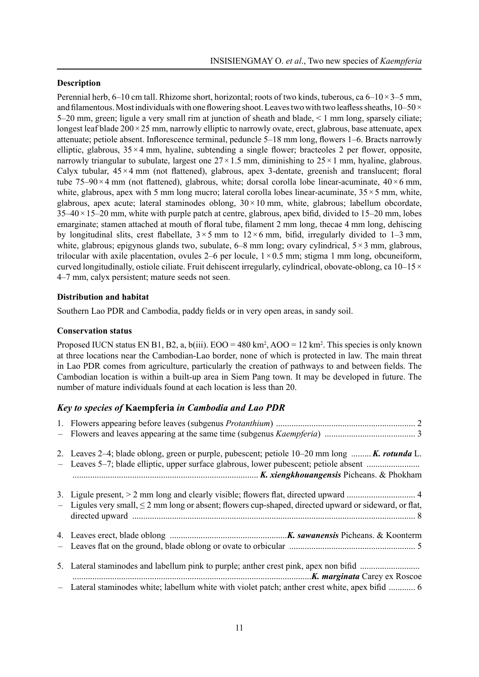### **Description**

Perennial herb,  $6-10$  cm tall. Rhizome short, horizontal; roots of two kinds, tuberous, ca  $6-10\times3-5$  mm, and filamentous. Most individuals with one flowering shoot. Leaves two with two leafless sheaths,  $10-50 \times$ 5–20 mm, green; ligule a very small rim at junction of sheath and blade, < 1 mm long, sparsely ciliate; longest leaf blade  $200 \times 25$  mm, narrowly elliptic to narrowly ovate, erect, glabrous, base attenuate, apex attenuate; petiole absent. Inflorescence terminal, peduncle 5–18 mm long, flowers 1–6. Bracts narrowly elliptic, glabrous,  $35 \times 4$  mm, hyaline, subtending a single flower; bracteoles 2 per flower, opposite, narrowly triangular to subulate, largest one  $27 \times 1.5$  mm, diminishing to  $25 \times 1$  mm, hyaline, glabrous. Calyx tubular,  $45 \times 4$  mm (not flattened), glabrous, apex 3-dentate, greenish and translucent; floral tube 75–90 $\times$ 4 mm (not flattened), glabrous, white; dorsal corolla lobe linear-acuminate, 40 $\times$ 6 mm, white, glabrous, apex with 5 mm long mucro; lateral corolla lobes linear-acuminate,  $35 \times 5$  mm, white, glabrous, apex acute; lateral staminodes oblong,  $30 \times 10$  mm, white, glabrous; labellum obcordate,  $35-40\times15-20$  mm, white with purple patch at centre, glabrous, apex bifid, divided to  $15-20$  mm, lobes emarginate; stamen attached at mouth of floral tube, filament 2 mm long, thecae 4 mm long, dehiscing by longitudinal slits, crest flabellate,  $3 \times 5$  mm to  $12 \times 6$  mm, bifid, irregularly divided to 1–3 mm, white, glabrous; epigynous glands two, subulate,  $6-8$  mm long; ovary cylindrical,  $5\times3$  mm, glabrous, trilocular with axile placentation, ovules 2–6 per locule,  $1 \times 0.5$  mm; stigma 1 mm long, obcuneiform, curved longitudinally, ostiole ciliate. Fruit dehiscent irregularly, cylindrical, obovate-oblong, ca  $10-15\times$ 4–7 mm, calyx persistent; mature seeds not seen.

# **Distribution and habitat**

Southern Lao PDR and Cambodia, paddy fields or in very open areas, in sandy soil.

# **Conservation status**

Proposed IUCN status EN B1, B2, a,  $b(iii)$ .  $EOO = 480 \text{ km}^2$ ,  $AOO = 12 \text{ km}^2$ . This species is only known at three locations near the Cambodian-Lao border, none of which is protected in law. The main threat in Lao PDR comes from agriculture, particularly the creation of pathways to and between fields. The Cambodian location is within a built-up area in Siem Pang town. It may be developed in future. The number of mature individuals found at each location is less than 20.

# *Key to species of* **Kaempferia** *in Cambodia and Lao PDR*

| 2. Leaves 2-4; blade oblong, green or purple, pubescent; petiole 10-20 mm long  K. rotunda L.<br>- Leaves 5–7; blade elliptic, upper surface glabrous, lower pubescent; petiole absent |
|----------------------------------------------------------------------------------------------------------------------------------------------------------------------------------------|
| - Ligules very small, $\leq$ 2 mm long or absent; flowers cup-shaped, directed upward or sideward, or flat,                                                                            |
|                                                                                                                                                                                        |
| 5. Lateral staminodes and labellum pink to purple; anther crest pink, apex non bifid                                                                                                   |
| - Lateral staminodes white; labellum white with violet patch; anther crest white, apex bifid  6                                                                                        |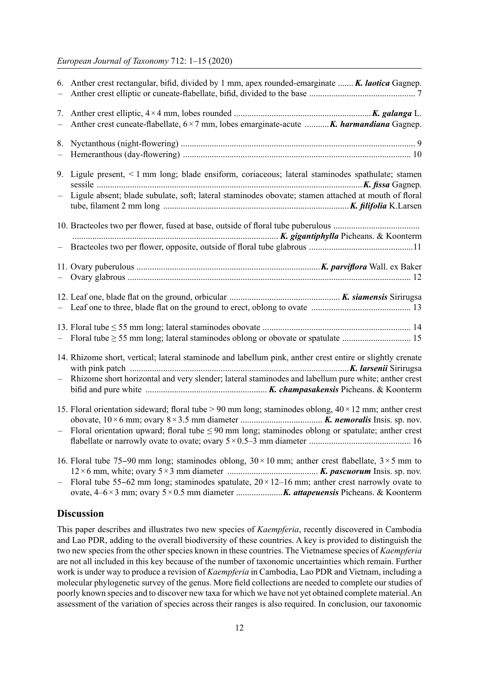### *European Journal of Taxonomy* 712: 1–15 (2020)

|                   | 6. Anther crest rectangular, bifid, divided by 1 mm, apex rounded-emarginate  K. laotica Gagnep.                                                                                                                           |
|-------------------|----------------------------------------------------------------------------------------------------------------------------------------------------------------------------------------------------------------------------|
| 7.<br>$\equiv$    | Anther crest cuneate-flabellate, $6 \times 7$ mm, lobes emarginate-acute  K. harmandiana Gagnep.                                                                                                                           |
| 8.                |                                                                                                                                                                                                                            |
|                   | 9. Ligule present, < 1 mm long; blade ensiform, coriaceous; lateral staminodes spathulate; stamen                                                                                                                          |
| —                 | Ligule absent; blade subulate, soft; lateral staminodes obovate; stamen attached at mouth of floral                                                                                                                        |
|                   |                                                                                                                                                                                                                            |
|                   |                                                                                                                                                                                                                            |
| $\frac{1}{2}$     |                                                                                                                                                                                                                            |
|                   |                                                                                                                                                                                                                            |
|                   |                                                                                                                                                                                                                            |
|                   |                                                                                                                                                                                                                            |
| $\qquad \qquad -$ | 14. Rhizome short, vertical; lateral staminode and labellum pink, anther crest entire or slightly crenate<br>Rhizome short horizontal and very slender; lateral staminodes and labellum pure white; anther crest           |
|                   | 15. Floral orientation sideward; floral tube > 90 mm long; staminodes oblong, $40 \times 12$ mm; anther crest<br>- Floral orientation upward; floral tube $\leq 90$ mm long; staminodes oblong or spatulate; anther crest  |
| —                 | 16. Floral tube 75–90 mm long; staminodes oblong, $30 \times 10$ mm; anther crest flabellate, $3 \times 5$ mm to<br>Floral tube 55–62 mm long; staminodes spatulate, $20 \times 12$ –16 mm; anther crest narrowly ovate to |

# **Discussion**

This paper describes and illustrates two new species of *Kaempferia*, recently discovered in Cambodia and Lao PDR, adding to the overall biodiversity of these countries. A key is provided to distinguish the two new species from the other species known in these countries. The Vietnamese species of *Kaempferia* are not all included in this key because of the number of taxonomic uncertainties which remain. Further work is under way to produce a revision of *Kaempferia* in Cambodia, Lao PDR and Vietnam, including a molecular phylogenetic survey of the genus. More field collections are needed to complete our studies of poorly known species and to discover new taxa for which we have not yet obtained complete material. An assessment of the variation of species across their ranges is also required. In conclusion, our taxonomic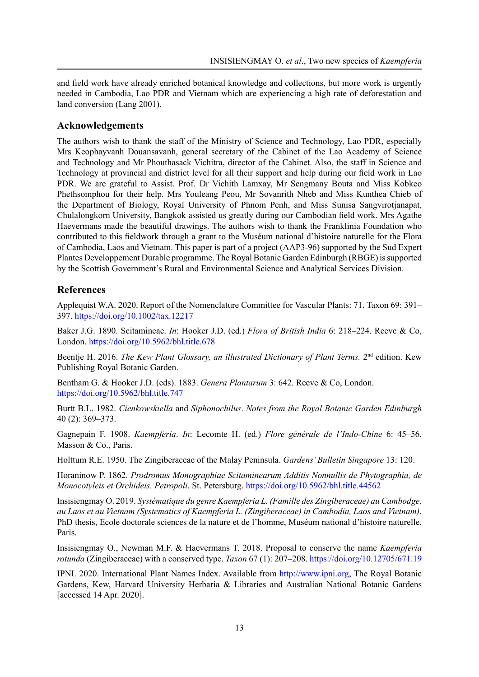and field work have already enriched botanical knowledge and collections, but more work is urgently needed in Cambodia, Lao PDR and Vietnam which are experiencing a high rate of deforestation and land conversion (Lang 2001).

# **Acknowledgements**

The authors wish to thank the staff of the Ministry of Science and Technology, Lao PDR, especially Mrs Keophayvanh Douansavanh, general secretary of the Cabinet of the Lao Academy of Science and Technology and Mr Phouthasack Vichitra, director of the Cabinet. Also, the staff in Science and Technology at provincial and district level for all their support and help during our field work in Lao PDR. We are grateful to Assist. Prof. Dr Vichith Lamxay, Mr Sengmany Bouta and Miss Kobkeo Phethsomphou for their help. Mrs Youleang Peou, Mr Sovanrith Nheb and Miss Kunthea Chieb of the Department of Biology, Royal University of Phnom Penh, and Miss Sunisa Sangvirotjanapat, Chulalongkorn University, Bangkok assisted us greatly during our Cambodian field work. Mrs Agathe Haevermans made the beautiful drawings. The authors wish to thank the Franklinia Foundation who contributed to this fieldwork through a grant to the Muséum national d'histoire naturelle for the Flora of Cambodia, Laos and Vietnam. This paper is part of a project (AAP3-96) supported by the Sud Expert Plantes Developpement Durable programme. The Royal Botanic Garden Edinburgh (RBGE) is supported by the Scottish Government's Rural and Environmental Science and Analytical Services Division.

# **References**

Applequist W.A. 2020. Report of the Nomenclature Committee for Vascular Plants: 71. Taxon 69: 391– 397. <https://doi.org/10.1002/tax.12217>

Baker J.G. 1890. Scitamineae. *In*: Hooker J.D. (ed.) *Flora of British India* 6: 218–224. Reeve & Co, London. <https://doi.org/10.5962/bhl.title.678>

Beentje H. 2016. *The Kew Plant Glossary, an illustrated Dictionary of Plant Terms.* 2nd edition. Kew Publishing Royal Botanic Garden.

Bentham G. & Hooker J.D. (eds). 1883. *Genera Plantarum* 3: 642. Reeve & Co, London. <https://doi.org/10.5962/bhl.title.747>

Burtt B.L. 1982. *Cienkowskiella* and *Siphonochilus*. *Notes from the Royal Botanic Garden Edinburgh* 40 (2): 369–373.

Gagnepain F. 1908. *Kaempferia*. *In*: Lecomte H. (ed.) *Flore générale de l'Indo-Chine* 6: 45–56. Masson & Co., Paris.

Holttum R.E. 1950. The Zingiberaceae of the Malay Peninsula. *Gardens' Bulletin Singapore* 13: 120.

Horaninow P. 1862. *Prodromus Monographiae Scitaminearum Additis Nonnullis de Phytographia, de Monocotyleis et Orchideis. Petropoli*. St. Petersburg. <https://doi.org/10.5962/bhl.title.44562>

Insisiengmay O. 2019. *Systématique du genre Kaempferia L. (Famille des Zingiberaceae) au Cambodge, au Laos et au Vietnam (Systematics of Kaempferia L. (Zingiberaceae) in Cambodia, Laos and Vietnam)*. PhD thesis, Ecole doctorale sciences de la nature et de l'homme, Muséum national d'histoire naturelle, Paris.

Insisiengmay O., Newman M.F. & Haevermans T. 2018. Proposal to conserve the name *Kaempferia rotunda* (Zingiberaceae) with a conserved type. *Taxon* 67 (1): 207–208.<https://doi.org/10.12705/671.19>

IPNI. 2020. International Plant Names Index. Available from [http://www.ipni.org,](http://www.ipni.org) The Royal Botanic Gardens, Kew, Harvard University Herbaria & Libraries and Australian National Botanic Gardens [accessed 14 Apr. 2020].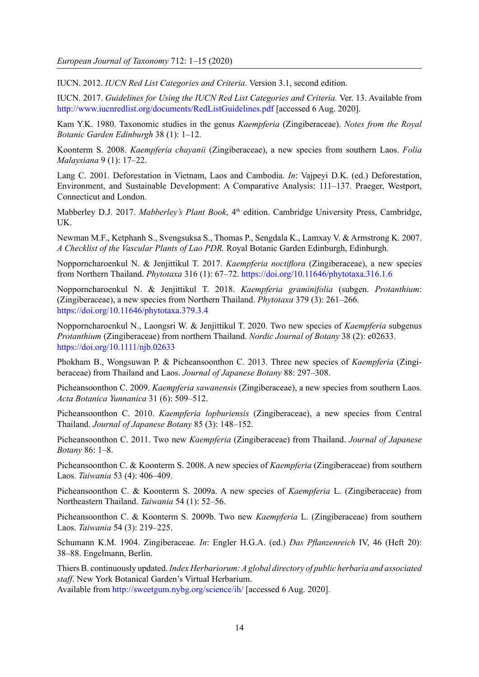IUCN. 2012. *IUCN Red List Categories and Criteria*. Version 3.1, second edition.

IUCN. 2017. *Guidelines for Using the IUCN Red List Categories and Criteria.* Ver. 13. Available from <http://www.iucnredlist.org/documents/RedListGuidelines.pdf> [accessed 6 Aug. 2020].

Kam Y.K. 1980. Taxonomic studies in the genus *Kaempferia* (Zingiberaceae). *Notes from the Royal Botanic Garden Edinburgh* 38 (1): 1–12.

Koonterm S. 2008. *Kaempferia chayanii* (Zingiberaceae), a new species from southern Laos. *Folia Malaysiana* 9 (1): 17–22.

Lang C. 2001. Deforestation in Vietnam, Laos and Cambodia. *In*: Vajpeyi D.K. (ed.) Deforestation, Environment, and Sustainable Development: A Comparative Analysis: 111–137. Praeger, Westport, Connecticut and London.

Mabberley D.J. 2017. *Mabberley's Plant Book*, 4<sup>th</sup> edition. Cambridge University Press, Cambridge, UK.

Newman M.F., Ketphanh S., Svengsuksa S., Thomas P., Sengdala K., Lamxay V. & Armstrong K. 2007. *A Checklist of the Vascular Plants of Lao PDR.* Royal Botanic Garden Edinburgh, Edinburgh.

Nopporncharoenkul N. & Jenjittikul T. 2017. *Kaempferia noctiflora* (Zingiberaceae), a new species from Northern Thailand. *Phytotaxa* 316 (1): 67–72. [https://doi.org/10.11646/phytotaxa.316.1.6](https://doi.org/%2010.11646/phytotaxa.316.1.6)

Nopporncharoenkul N. & Jenjittikul T. 2018. *Kaempferia graminifolia* (subgen. *Protanthium*: (Zingiberaceae), a new species from Northern Thailand. *Phytotaxa* 379 (3): 261–266. <https://doi.org/10.11646/phytotaxa.379.3.4>

Nopporncharoenkul N., Laongsri W. & Jenjittikul T. 2020. Two new species of *Kaempferia* subgenus *Protanthium* (Zingiberaceae) from northern Thailand. *Nordic Journal of Botany* 38 (2): e02633. <https://doi.org/10.1111/njb.02633>

Phokham B., Wongsuwan P. & Picheansoonthon C. 2013. Three new species of *Kaempferia* (Zingiberaceae) from Thailand and Laos. *Journal of Japanese Botany* 88: 297–308.

Picheansoonthon C. 2009. *Kaempferia sawanensis* (Zingiberaceae), a new species from southern Laos. *Acta Botanica Yunnanica* 31 (6): 509–512.

Picheansoonthon C. 2010. *Kaempferia lopburiensis* (Zingiberaceae), a new species from Central Thailand. *Journal of Japanese Botany* 85 (3): 148–152.

Picheansoonthon C. 2011. Two new *Kaempferia* (Zingiberaceae) from Thailand. *Journal of Japanese Botany* 86: 1–8.

Picheansoonthon C. & Koonterm S. 2008. A new species of *Kaempferia* (Zingiberaceae) from southern Laos. *Taiwania* 53 (4): 406–409.

Picheansoonthon C. & Koonterm S. 2009a. A new species of *Kaempferia* L. (Zingiberaceae) from Northeastern Thailand. *Taiwania* 54 (1): 52–56.

Picheansoonthon C. & Koonterm S. 2009b. Two new *Kaempferia* L. (Zingiberaceae) from southern Laos. *Taiwania* 54 (3): 219–225.

Schumann K.M. 1904. Zingiberaceae. *In*: Engler H.G.A. (ed.) *Das Pflanzenreich* IV, 46 (Heft 20): 38–88. Engelmann, Berlin.

Thiers B. continuously updated. *Index Herbariorum: A global directory of public herbaria and associated staff*. New York Botanical Garden's Virtual Herbarium.

Available from <http://sweetgum.nybg.org/science/ih/>[accessed 6 Aug. 2020].